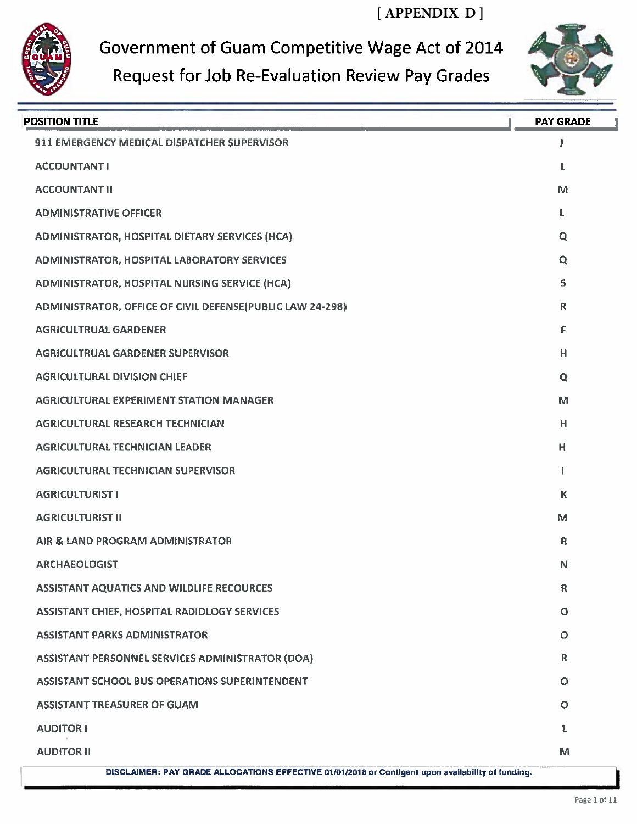**[ APPENDIX D ]**



Government of Guam Competitive Wage Act of 2014



## Request for Job Re-Evaluation Review Pay Grades

| <b>POSITION TITLE</b>                                                                             | <b>PAY GRADE</b> |
|---------------------------------------------------------------------------------------------------|------------------|
| 911 EMERGENCY MEDICAL DISPATCHER SUPERVISOR                                                       | J                |
| <b>ACCOUNTANT I</b>                                                                               | L                |
| <b>ACCOUNTANT II</b>                                                                              | M                |
| <b>ADMINISTRATIVE OFFICER</b>                                                                     | L                |
| ADMINISTRATOR, HOSPITAL DIETARY SERVICES (HCA)                                                    | $\mathbf Q$      |
| ADMINISTRATOR, HOSPITAL LABORATORY SERVICES                                                       | Q                |
| <b>ADMINISTRATOR, HOSPITAL NURSING SERVICE (HCA)</b>                                              | S                |
| ADMINISTRATOR, OFFICE OF CIVIL DEFENSE(PUBLIC LAW 24-298)                                         | R                |
| <b>AGRICULTRUAL GARDENER</b>                                                                      | F                |
| <b>AGRICULTRUAL GARDENER SUPERVISOR</b>                                                           | H                |
| <b>AGRICULTURAL DIVISION CHIEF</b>                                                                | Q                |
| <b>AGRICULTURAL EXPERIMENT STATION MANAGER</b>                                                    | M                |
| <b>AGRICULTURAL RESEARCH TECHNICIAN</b>                                                           | H                |
| <b>AGRICULTURAL TECHNICIAN LEADER</b>                                                             | н                |
| <b>AGRICULTURAL TECHNICIAN SUPERVISOR</b>                                                         |                  |
| <b>AGRICULTURIST I</b>                                                                            | К                |
| <b>AGRICULTURIST II</b>                                                                           | M                |
| AIR & LAND PROGRAM ADMINISTRATOR                                                                  | R                |
| <b>ARCHAEOLOGIST</b>                                                                              | N                |
| <b>ASSISTANT AQUATICS AND WILDLIFE RECOURCES</b>                                                  | $\mathbf R$      |
| <b>ASSISTANT CHIEF, HOSPITAL RADIOLOGY SERVICES</b>                                               | $\mathbf{o}$     |
| <b>ASSISTANT PARKS ADMINISTRATOR</b>                                                              | $\mathbf O$      |
| ASSISTANT PERSONNEL SERVICES ADMINISTRATOR (DOA)                                                  | $\mathsf{R}$     |
| <b>ASSISTANT SCHOOL BUS OPERATIONS SUPERINTENDENT</b>                                             | $\circ$          |
| <b>ASSISTANT TREASURER OF GUAM</b>                                                                | $\circ$          |
| <b>AUDITOR I</b>                                                                                  | L                |
| <b>AUDITOR II</b>                                                                                 | M                |
| DISCLAIMER: PAY GRADE ALLOCATIONS EFFECTIVE 01/01/2018 or Contigent upon availability of funding. |                  |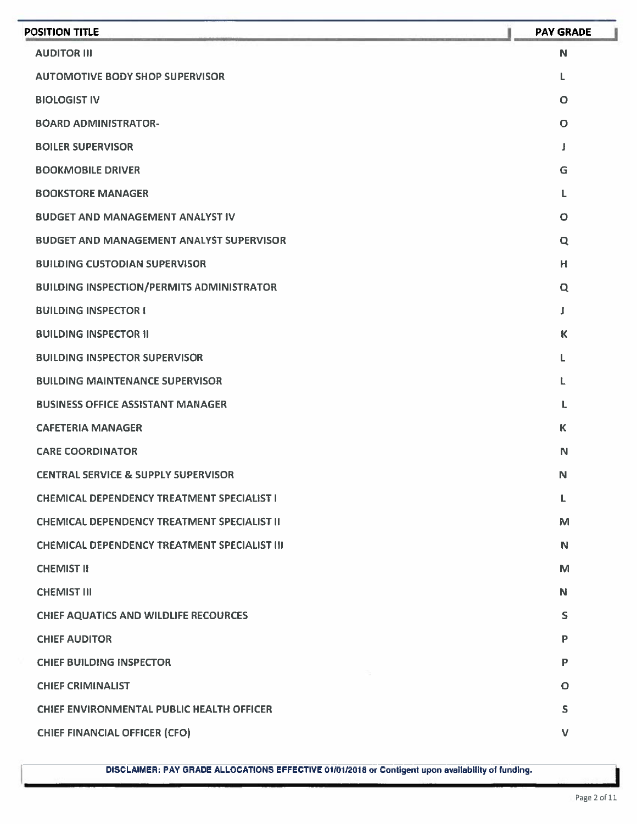| <b>POSITION TITLE</b>                               | <b>PAY GRADE</b> |
|-----------------------------------------------------|------------------|
| <b>AUDITOR III</b>                                  | N                |
| <b>AUTOMOTIVE BODY SHOP SUPERVISOR</b>              | L                |
| <b>BIOLOGIST IV</b>                                 | $\circ$          |
| <b>BOARD ADMINISTRATOR-</b>                         | $\circ$          |
| <b>BOILER SUPERVISOR</b>                            | J                |
| <b>BOOKMOBILE DRIVER</b>                            | G                |
| <b>BOOKSTORE MANAGER</b>                            | L                |
| <b>BUDGET AND MANAGEMENT ANALYST IV</b>             | $\circ$          |
| <b>BUDGET AND MANAGEMENT ANALYST SUPERVISOR</b>     | Q                |
| <b>BUILDING CUSTODIAN SUPERVISOR</b>                | H                |
| <b>BUILDING INSPECTION/PERMITS ADMINISTRATOR</b>    | $\mathbf Q$      |
| <b>BUILDING INSPECTOR I</b>                         | J                |
| <b>BUILDING INSPECTOR II</b>                        | $\mathbf k$      |
| <b>BUILDING INSPECTOR SUPERVISOR</b>                | L                |
| <b>BUILDING MAINTENANCE SUPERVISOR</b>              | L                |
| <b>BUSINESS OFFICE ASSISTANT MANAGER</b>            | L                |
| <b>CAFETERIA MANAGER</b>                            | $\mathbf K$      |
| <b>CARE COORDINATOR</b>                             | N                |
| <b>CENTRAL SERVICE &amp; SUPPLY SUPERVISOR</b>      | N                |
| <b>CHEMICAL DEPENDENCY TREATMENT SPECIALIST I</b>   | L                |
| <b>CHEMICAL DEPENDENCY TREATMENT SPECIALIST II</b>  | M                |
| <b>CHEMICAL DEPENDENCY TREATMENT SPECIALIST III</b> | N                |
| <b>CHEMIST II</b>                                   | M                |
| <b>CHEMIST III</b>                                  | N                |
| <b>CHIEF AQUATICS AND WILDLIFE RECOURCES</b>        | S                |
| <b>CHIEF AUDITOR</b>                                | P                |
| <b>CHIEF BUILDING INSPECTOR</b>                     | P                |
| <b>CHIEF CRIMINALIST</b>                            | $\mathbf O$      |
| CHIEF ENVIRONMENTAL PUBLIC HEALTH OFFICER           | S.               |
| <b>CHIEF FINANCIAL OFFICER (CFO)</b>                | $\vee$           |
|                                                     |                  |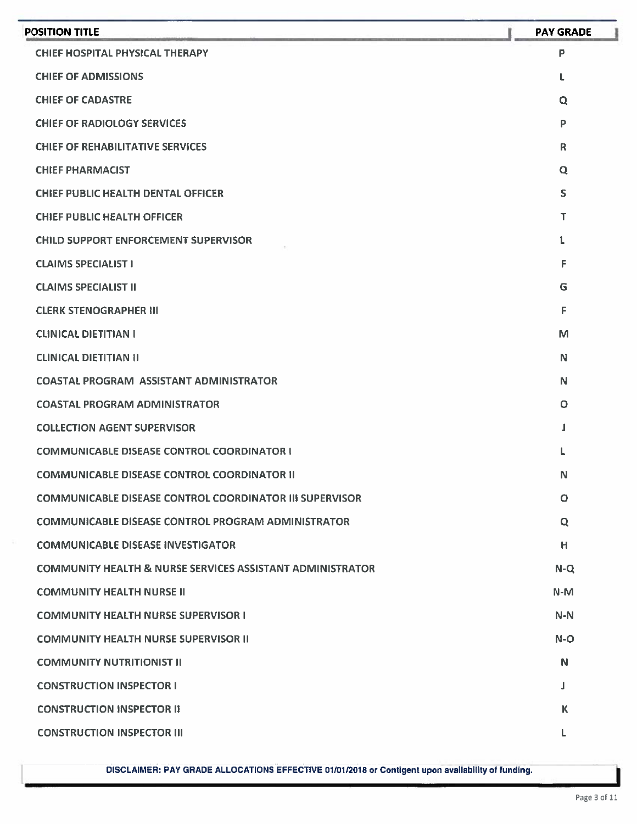| <b>POSITION TITLE</b>                                                | <b>PAY GRADE</b> |
|----------------------------------------------------------------------|------------------|
| <b>CHIEF HOSPITAL PHYSICAL THERAPY</b>                               | P                |
| <b>CHIEF OF ADMISSIONS</b>                                           | L                |
| <b>CHIEF OF CADASTRE</b>                                             | Q                |
| <b>CHIEF OF RADIOLOGY SERVICES</b>                                   | P                |
| <b>CHIEF OF REHABILITATIVE SERVICES</b>                              | $\mathbb{R}$     |
| <b>CHIEF PHARMACIST</b>                                              | Q                |
| <b>CHIEF PUBLIC HEALTH DENTAL OFFICER</b>                            | $\mathsf{S}$     |
| <b>CHIEF PUBLIC HEALTH OFFICER</b>                                   | T                |
| <b>CHILD SUPPORT ENFORCEMENT SUPERVISOR</b>                          | L                |
| <b>CLAIMS SPECIALIST I</b>                                           | F                |
| <b>CLAIMS SPECIALIST II</b>                                          | G                |
| <b>CLERK STENOGRAPHER III</b>                                        | F                |
| <b>CLINICAL DIETITIAN I</b>                                          | M                |
| <b>CLINICAL DIETITIAN II</b>                                         | N                |
| <b>COASTAL PROGRAM ASSISTANT ADMINISTRATOR</b>                       | N                |
| <b>COASTAL PROGRAM ADMINISTRATOR</b>                                 | O                |
| <b>COLLECTION AGENT SUPERVISOR</b>                                   | 1                |
| <b>COMMUNICABLE DISEASE CONTROL COORDINATOR I</b>                    | L                |
| <b>COMMUNICABLE DISEASE CONTROL COORDINATOR II</b>                   | N                |
| <b>COMMUNICABLE DISEASE CONTROL COORDINATOR III SUPERVISOR</b>       | $\circ$          |
| <b>COMMUNICABLE DISEASE CONTROL PROGRAM ADMINISTRATOR</b>            | Q                |
| <b>COMMUNICABLE DISEASE INVESTIGATOR</b>                             | H                |
| <b>COMMUNITY HEALTH &amp; NURSE SERVICES ASSISTANT ADMINISTRATOR</b> | $N-Q$            |
| <b>COMMUNITY HEALTH NURSE II</b>                                     | $N-M$            |
| <b>COMMUNITY HEALTH NURSE SUPERVISOR I</b>                           | $N-N$            |
| <b>COMMUNITY HEALTH NURSE SUPERVISOR II</b>                          | $N-O$            |
| <b>COMMUNITY NUTRITIONIST II</b>                                     | N                |
| <b>CONSTRUCTION INSPECTOR I</b>                                      | J                |
| <b>CONSTRUCTION INSPECTOR II</b>                                     | K                |
| <b>CONSTRUCTION INSPECTOR III</b>                                    | L                |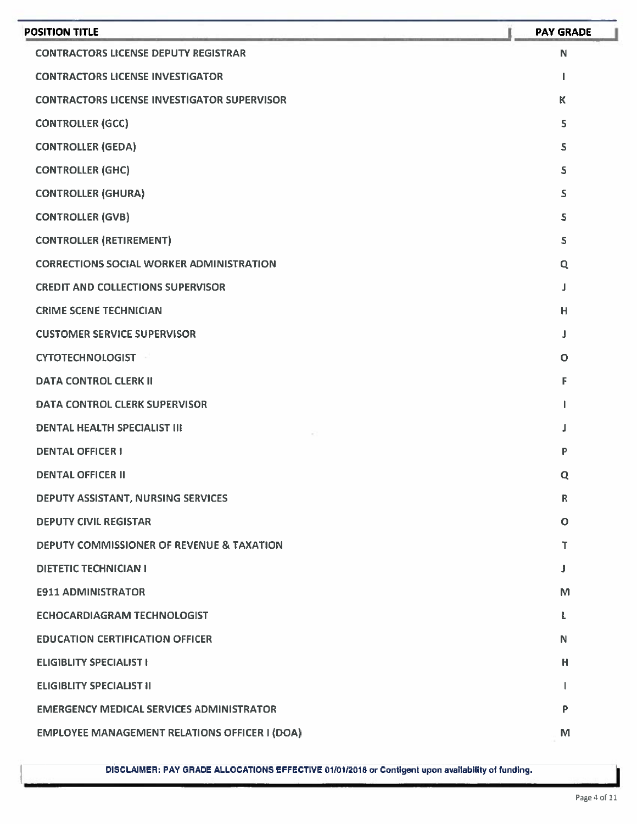| <b>POSITION TITLE</b>                                | <b>PAY GRADE</b> |
|------------------------------------------------------|------------------|
| <b>CONTRACTORS LICENSE DEPUTY REGISTRAR</b>          | N                |
| <b>CONTRACTORS LICENSE INVESTIGATOR</b>              | 1                |
| <b>CONTRACTORS LICENSE INVESTIGATOR SUPERVISOR</b>   | $\mathsf K$      |
| <b>CONTROLLER (GCC)</b>                              | S                |
| <b>CONTROLLER (GEDA)</b>                             | S                |
| <b>CONTROLLER (GHC)</b>                              | S                |
| <b>CONTROLLER (GHURA)</b>                            | S                |
| <b>CONTROLLER (GVB)</b>                              | S                |
| <b>CONTROLLER (RETIREMENT)</b>                       | S.               |
| <b>CORRECTIONS SOCIAL WORKER ADMINISTRATION</b>      | Q                |
| <b>CREDIT AND COLLECTIONS SUPERVISOR</b>             | Л                |
| <b>CRIME SCENE TECHNICIAN</b>                        | H                |
| <b>CUSTOMER SERVICE SUPERVISOR</b>                   | J                |
| <b>CYTOTECHNOLOGIST</b>                              | $\circ$          |
| <b>DATA CONTROL CLERK II</b>                         | F                |
| DATA CONTROL CLERK SUPERVISOR                        |                  |
| <b>DENTAL HEALTH SPECIALIST III</b>                  |                  |
| <b>DENTAL OFFICER I</b>                              | P                |
| <b>DENTAL OFFICER II</b>                             | Q                |
| DEPUTY ASSISTANT, NURSING SERVICES                   | $\mathsf R$      |
| <b>DEPUTY CIVIL REGISTAR</b>                         | O                |
| DEPUTY COMMISSIONER OF REVENUE & TAXATION            | т                |
| DIETETIC TECHNICIAN I                                | J                |
| <b>E911 ADMINISTRATOR</b>                            | м                |
| ECHOCARDIAGRAM TECHNOLOGIST                          | Ł                |
| <b>EDUCATION CERTIFICATION OFFICER</b>               | N                |
| <b>ELIGIBLITY SPECIALIST I</b>                       | н                |
| <b>ELIGIBLITY SPECIALIST II</b>                      | ı                |
| <b>EMERGENCY MEDICAL SERVICES ADMINISTRATOR</b>      | P                |
| <b>EMPLOYEE MANAGEMENT RELATIONS OFFICER I (DOA)</b> | M                |
|                                                      |                  |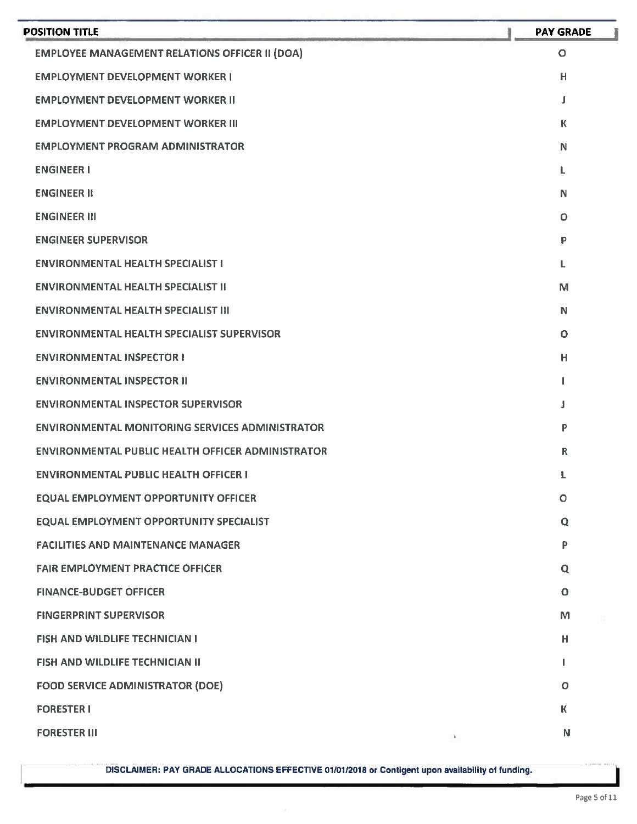| <b>EMPLOYEE MANAGEMENT RELATIONS OFFICER II (DOA)</b>    | $\circ$                 |
|----------------------------------------------------------|-------------------------|
| <b>EMPLOYMENT DEVELOPMENT WORKER I</b>                   | H                       |
| <b>EMPLOYMENT DEVELOPMENT WORKER II</b>                  | J                       |
| <b>EMPLOYMENT DEVELOPMENT WORKER III</b>                 | К                       |
| <b>EMPLOYMENT PROGRAM ADMINISTRATOR</b>                  | N                       |
| <b>ENGINEER I</b>                                        | L                       |
| <b>ENGINEER II</b>                                       | N                       |
| <b>ENGINEER III</b>                                      | $\circ$                 |
| <b>ENGINEER SUPERVISOR</b>                               | ₽                       |
| <b>ENVIRONMENTAL HEALTH SPECIALIST I</b>                 | L                       |
| <b>ENVIRONMENTAL HEALTH SPECIALIST II</b>                | M                       |
| <b>ENVIRONMENTAL HEALTH SPECIALIST III</b>               | N                       |
| <b>ENVIRONMENTAL HEALTH SPECIALIST SUPERVISOR</b>        | $\Omega$                |
| <b>ENVIRONMENTAL INSPECTOR I</b>                         | $\overline{\mathsf{H}}$ |
| <b>ENVIRONMENTAL INSPECTOR II</b>                        | 1                       |
| <b>ENVIRONMENTAL INSPECTOR SUPERVISOR</b>                | J                       |
| <b>ENVIRONMENTAL MONITORING SERVICES ADMINISTRATOR</b>   | P                       |
| <b>ENVIRONMENTAL PUBLIC HEALTH OFFICER ADMINISTRATOR</b> | $\mathsf{R}$            |
| <b>ENVIRONMENTAL PUBLIC HEALTH OFFICER 1</b>             | L                       |
| <b>EQUAL EMPLOYMENT OPPORTUNITY OFFICER</b>              | $\circ$                 |
| EQUAL EMPLOYMENT OPPORTUNITY SPECIALIST                  | Q                       |
| <b>FACILITIES AND MAINTENANCE MANAGER</b>                | P                       |
| <b>FAIR EMPLOYMENT PRACTICE OFFICER</b>                  | Q                       |
| <b>FINANCE-BUDGET OFFICER</b>                            | $\mathbf O$             |
| <b>FINGERPRINT SUPERVISOR</b>                            | M                       |
| <b>FISH AND WILDLIFE TECHNICIAN I</b>                    | H                       |
| FISH AND WILDLIFE TECHNICIAN II                          | L                       |
| <b>FOOD SERVICE ADMINISTRATOR (DOE)</b>                  | $\circ$                 |
| <b>FORESTER I</b>                                        | K.                      |
| <b>FORESTER III</b><br>$\mathbf{k}_\perp$                | N                       |

I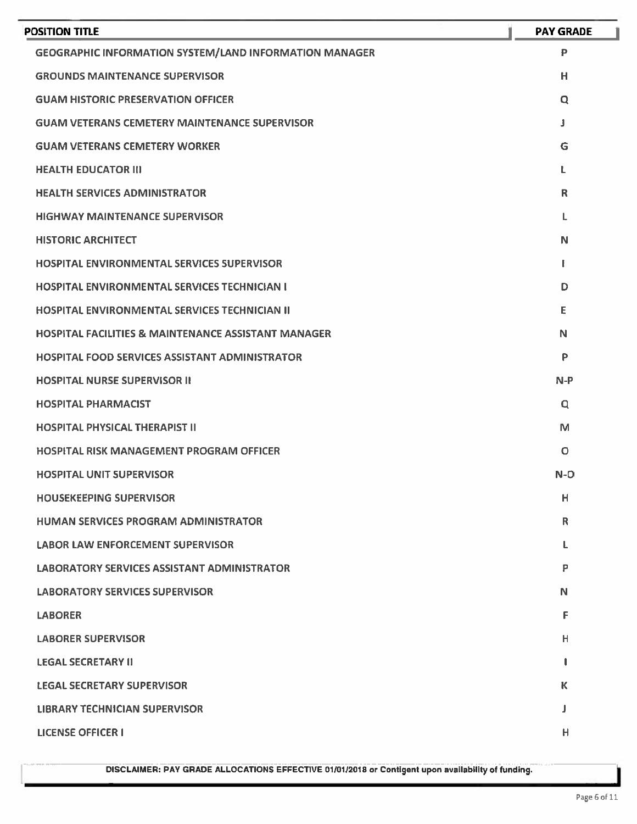| POSITION TITLE                                                 | <b>PAY GRADE</b> |
|----------------------------------------------------------------|------------------|
| <b>GEOGRAPHIC INFORMATION SYSTEM/LAND INFORMATION MANAGER</b>  | $\mathbf{P}$     |
| <b>GROUNDS MAINTENANCE SUPERVISOR</b>                          | H                |
| <b>GUAM HISTORIC PRESERVATION OFFICER</b>                      | Q                |
| <b>GUAM VETERANS CEMETERY MAINTENANCE SUPERVISOR</b>           | J                |
| <b>GUAM VETERANS CEMETERY WORKER</b>                           | G                |
| <b>HEALTH EDUCATOR III</b>                                     | L                |
| <b>HEALTH SERVICES ADMINISTRATOR</b>                           | R                |
| <b>HIGHWAY MAINTENANCE SUPERVISOR</b>                          | L.               |
| <b>HISTORIC ARCHITECT</b>                                      | N                |
| <b>HOSPITAL ENVIRONMENTAL SERVICES SUPERVISOR</b>              | Ł                |
| <b>HOSPITAL ENVIRONMENTAL SERVICES TECHNICIAN I</b>            | D                |
| <b>HOSPITAL ENVIRONMENTAL SERVICES TECHNICIAN II</b>           | Е                |
| <b>HOSPITAL FACILITIES &amp; MAINTENANCE ASSISTANT MANAGER</b> | N                |
| <b>HOSPITAL FOOD SERVICES ASSISTANT ADMINISTRATOR</b>          | P                |
| <b>HOSPITAL NURSE SUPERVISOR II</b>                            | $N-P$            |
| <b>HOSPITAL PHARMACIST</b>                                     | Q                |
| <b>HOSPITAL PHYSICAL THERAPIST II</b>                          | M                |
| <b>HOSPITAL RISK MANAGEMENT PROGRAM OFFICER</b>                | O                |
| <b>HOSPITAL UNIT SUPERVISOR</b>                                | $N-O$            |
| <b>HOUSEKEEPING SUPERVISOR</b>                                 | н                |
| <b>HUMAN SERVICES PROGRAM ADMINISTRATOR</b>                    | R                |
| <b>LABOR LAW ENFORCEMENT SUPERVISOR</b>                        | L                |
| <b>LABORATORY SERVICES ASSISTANT ADMINISTRATOR</b>             | P                |
| <b>LABORATORY SERVICES SUPERVISOR</b>                          | N                |
| <b>LABORER</b>                                                 | F                |
| <b>LABORER SUPERVISOR</b>                                      | н                |
| <b>LEGAL SECRETARY II</b>                                      | ı                |
| <b>LEGAL SECRETARY SUPERVISOR</b>                              | К                |
| <b>LIBRARY TECHNICIAN SUPERVISOR</b>                           | J                |
| <b>LICENSE OFFICER I</b>                                       | Н                |
|                                                                |                  |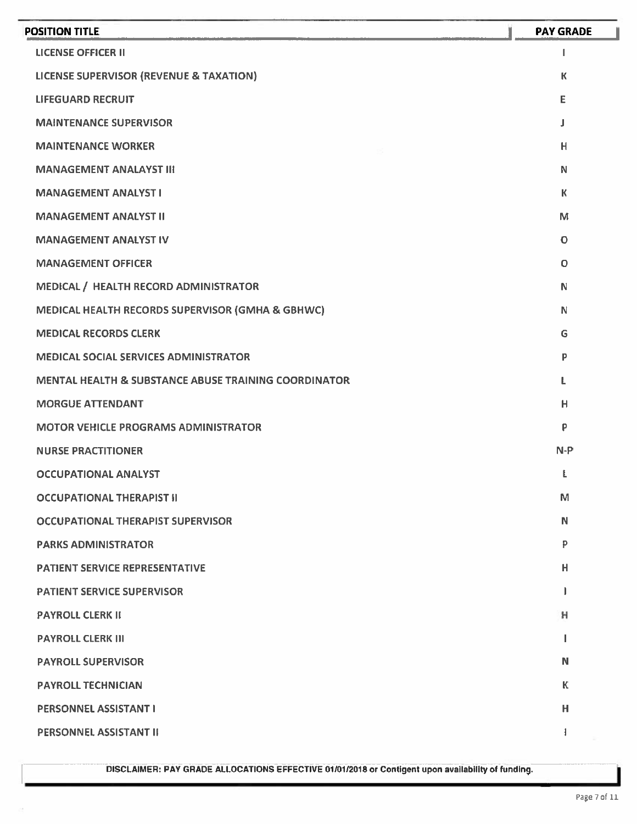| <b>POSITION TITLE</b>                                           | <b>PAY GRADE</b> |
|-----------------------------------------------------------------|------------------|
| <b>LICENSE OFFICER II</b>                                       | 1                |
| <b>LICENSE SUPERVISOR (REVENUE &amp; TAXATION)</b>              | К                |
| <b>LIFEGUARD RECRUIT</b>                                        | E                |
| <b>MAINTENANCE SUPERVISOR</b>                                   | J                |
| <b>MAINTENANCE WORKER</b>                                       | н                |
| <b>MANAGEMENT ANALAYST III</b>                                  | N                |
| <b>MANAGEMENT ANALYST I</b>                                     | К                |
| <b>MANAGEMENT ANALYST II</b>                                    | м                |
| <b>MANAGEMENT ANALYST IV</b>                                    | $\mathbf O$      |
| <b>MANAGEMENT OFFICER</b>                                       | O                |
| MEDICAL / HEALTH RECORD ADMINISTRATOR                           | N                |
| MEDICAL HEALTH RECORDS SUPERVISOR (GMHA & GBHWC)                | N                |
| <b>MEDICAL RECORDS CLERK</b>                                    | G                |
| <b>MEDICAL SOCIAL SERVICES ADMINISTRATOR</b>                    | P                |
| <b>MENTAL HEALTH &amp; SUBSTANCE ABUSE TRAINING COORDINATOR</b> | L                |
| <b>MORGUE ATTENDANT</b>                                         | н                |
| <b>MOTOR VEHICLE PROGRAMS ADMINISTRATOR</b>                     | P                |
| <b>NURSE PRACTITIONER</b>                                       | $N-P$            |
| <b>OCCUPATIONAL ANALYST</b>                                     | Ł                |
| <b>OCCUPATIONAL THERAPIST II</b>                                | M                |
| <b>OCCUPATIONAL THERAPIST SUPERVISOR</b>                        | N                |
| <b>PARKS ADMINISTRATOR</b>                                      | P                |
| <b>PATIENT SERVICE REPRESENTATIVE</b>                           | н                |
| <b>PATIENT SERVICE SUPERVISOR</b>                               | J.               |
| <b>PAYROLL CLERK II</b>                                         | н                |
| <b>PAYROLL CLERK III</b>                                        |                  |
| <b>PAYROLL SUPERVISOR</b>                                       | N                |
| <b>PAYROLL TECHNICIAN</b>                                       | К                |
| <b>PERSONNEL ASSISTANT I</b>                                    | н                |
| PERSONNEL ASSISTANT II                                          | 1                |
|                                                                 |                  |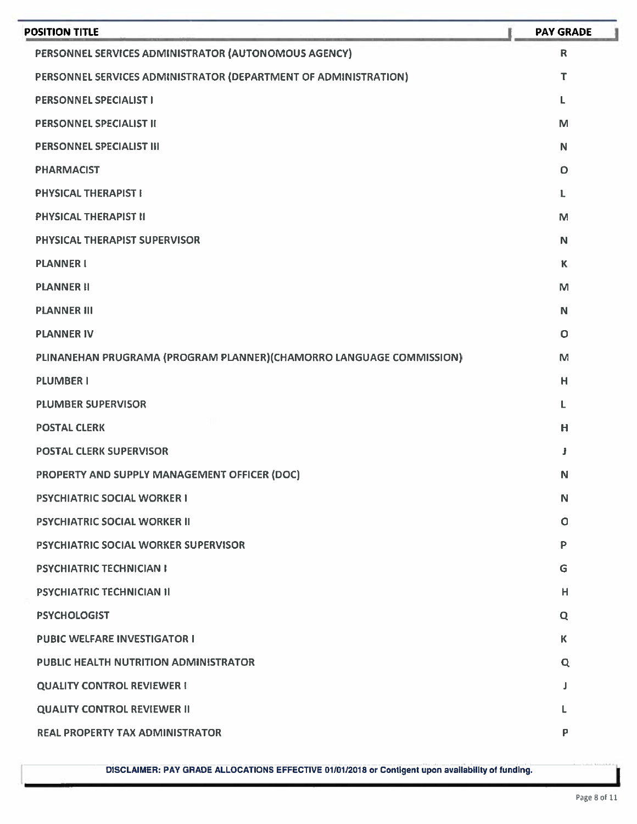| <b>POSITION TITLE</b>                                                | <b>PAY GRADE</b> |
|----------------------------------------------------------------------|------------------|
| PERSONNEL SERVICES ADMINISTRATOR (AUTONOMOUS AGENCY)                 | $\mathbf R$      |
| PERSONNEL SERVICES ADMINISTRATOR (DEPARTMENT OF ADMINISTRATION)      | т                |
| <b>PERSONNEL SPECIALIST I</b>                                        | L                |
| PERSONNEL SPECIALIST II                                              | M                |
| PERSONNEL SPECIALIST III                                             | N                |
| <b>PHARMACIST</b>                                                    | O                |
| <b>PHYSICAL THERAPIST I</b>                                          | $\mathbf{L}$     |
| PHYSICAL THERAPIST II                                                | M                |
| PHYSICAL THERAPIST SUPERVISOR                                        | N                |
| <b>PLANNER I</b>                                                     | K                |
| <b>PLANNER II</b>                                                    | M                |
| <b>PLANNER III</b>                                                   | N                |
| <b>PLANNER IV</b>                                                    | $\circ$          |
| PLINANEHAN PRUGRAMA (PROGRAM PLANNER) (CHAMORRO LANGUAGE COMMISSION) | M                |
| <b>PLUMBER I</b>                                                     | H                |
| <b>PLUMBER SUPERVISOR</b>                                            | L                |
| <b>POSTAL CLERK</b>                                                  | H                |
| <b>POSTAL CLERK SUPERVISOR</b>                                       | Ĵ                |
| PROPERTY AND SUPPLY MANAGEMENT OFFICER (DOC)                         | N                |
| <b>PSYCHIATRIC SOCIAL WORKER I</b>                                   | N                |
| <b>PSYCHIATRIC SOCIAL WORKER II</b>                                  | $\circ$          |
| PSYCHIATRIC SOCIAL WORKER SUPERVISOR                                 | P                |
| <b>PSYCHIATRIC TECHNICIAN I</b>                                      | G                |
| <b>PSYCHIATRIC TECHNICIAN II</b>                                     | H                |
| <b>PSYCHOLOGIST</b>                                                  | $\mathbf Q$      |
| <b>PUBIC WELFARE INVESTIGATOR I</b>                                  | K                |
| <b>PUBLIC HEALTH NUTRITION ADMINISTRATOR</b>                         | Q                |
| <b>QUALITY CONTROL REVIEWER I</b>                                    | J                |
| <b>QUALITY CONTROL REVIEWER II</b>                                   |                  |
| <b>REAL PROPERTY TAX ADMINISTRATOR</b>                               | P                |
|                                                                      |                  |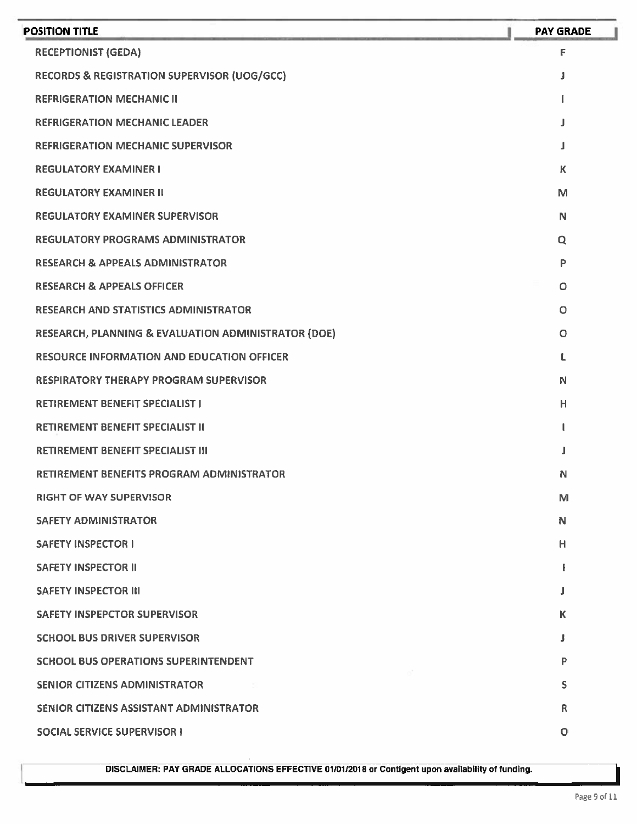| <b>POSITION TITLE</b>                                  | <b>PAY GRADE</b> |
|--------------------------------------------------------|------------------|
| <b>RECEPTIONIST (GEDA)</b>                             | F                |
| <b>RECORDS &amp; REGISTRATION SUPERVISOR (UOG/GCC)</b> | J                |
| <b>REFRIGERATION MECHANIC II</b>                       |                  |
| <b>REFRIGERATION MECHANIC LEADER</b>                   | J                |
| <b>REFRIGERATION MECHANIC SUPERVISOR</b>               | J                |
| <b>REGULATORY EXAMINER I</b>                           | K                |
| <b>REGULATORY EXAMINER II</b>                          | M                |
| <b>REGULATORY EXAMINER SUPERVISOR</b>                  | N                |
| <b>REGULATORY PROGRAMS ADMINISTRATOR</b>               | Q                |
| <b>RESEARCH &amp; APPEALS ADMINISTRATOR</b>            | P                |
| <b>RESEARCH &amp; APPEALS OFFICER</b>                  | O                |
| <b>RESEARCH AND STATISTICS ADMINISTRATOR</b>           | $\circ$          |
| RESEARCH, PLANNING & EVALUATION ADMINISTRATOR (DOE)    | O                |
| <b>RESOURCE INFORMATION AND EDUCATION OFFICER</b>      |                  |
| <b>RESPIRATORY THERAPY PROGRAM SUPERVISOR</b>          | N                |
| <b>RETIREMENT BENEFIT SPECIALIST I</b>                 | н                |
| <b>RETIREMENT BENEFIT SPECIALIST II</b>                | L                |
| <b>RETIREMENT BENEFIT SPECIALIST III</b>               |                  |
| <b>RETIREMENT BENEFITS PROGRAM ADMINISTRATOR</b>       | N                |
| <b>RIGHT OF WAY SUPERVISOR</b>                         | M                |
| <b>SAFETY ADMINISTRATOR</b>                            | N                |
| <b>SAFETY INSPECTOR I</b>                              | н                |
| <b>SAFETY INSPECTOR II</b>                             |                  |
| <b>SAFETY INSPECTOR III</b>                            | J                |
| <b>SAFETY INSPEPCTOR SUPERVISOR</b>                    | K                |
| <b>SCHOOL BUS DRIVER SUPERVISOR</b>                    | J                |
| <b>SCHOOL BUS OPERATIONS SUPERINTENDENT</b>            | Р                |
| <b>SENIOR CITIZENS ADMINISTRATOR</b>                   | S                |
| SENIOR CITIZENS ASSISTANT ADMINISTRATOR                | R                |
| <b>SOCIAL SERVICE SUPERVISOR I</b>                     | $\circ$          |
|                                                        |                  |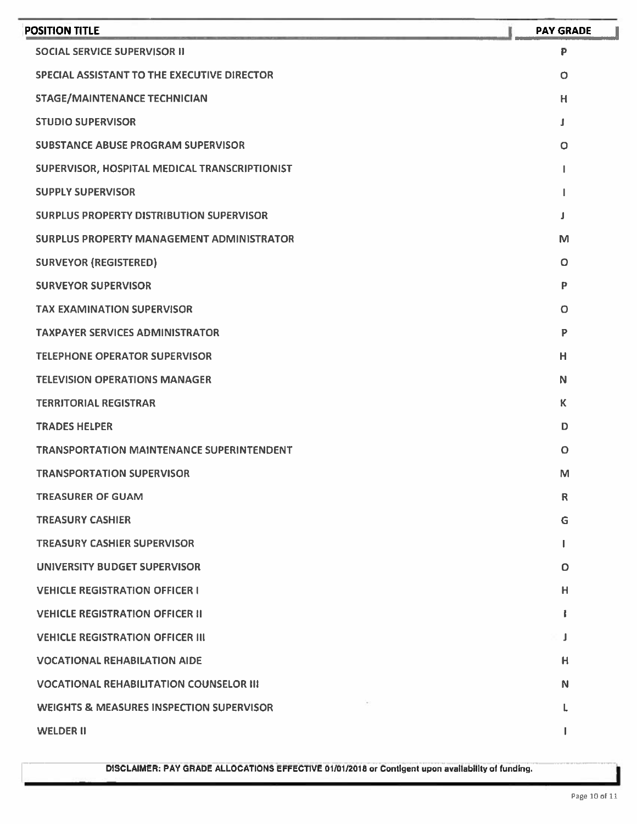| <b>POSITION TITLE</b>                               | <b>PAY GRADE</b> |
|-----------------------------------------------------|------------------|
| <b>SOCIAL SERVICE SUPERVISOR II</b>                 | P                |
| SPECIAL ASSISTANT TO THE EXECUTIVE DIRECTOR         | $\circ$          |
| <b>STAGE/MAINTENANCE TECHNICIAN</b>                 | н                |
| <b>STUDIO SUPERVISOR</b>                            | J                |
| <b>SUBSTANCE ABUSE PROGRAM SUPERVISOR</b>           | $\circ$          |
| SUPERVISOR, HOSPITAL MEDICAL TRANSCRIPTIONIST       |                  |
| <b>SUPPLY SUPERVISOR</b>                            |                  |
| <b>SURPLUS PROPERTY DISTRIBUTION SUPERVISOR</b>     |                  |
| <b>SURPLUS PROPERTY MANAGEMENT ADMINISTRATOR</b>    | M                |
| <b>SURVEYOR (REGISTERED)</b>                        | Ο                |
| <b>SURVEYOR SUPERVISOR</b>                          | P                |
| <b>TAX EXAMINATION SUPERVISOR</b>                   | O                |
| <b>TAXPAYER SERVICES ADMINISTRATOR</b>              | P                |
| <b>TELEPHONE OPERATOR SUPERVISOR</b>                | н                |
| <b>TELEVISION OPERATIONS MANAGER</b>                | N                |
| <b>TERRITORIAL REGISTRAR</b>                        | K.               |
| <b>TRADES HELPER</b>                                | D                |
| <b>TRANSPORTATION MAINTENANCE SUPERINTENDENT</b>    | $\circ$          |
| <b>TRANSPORTATION SUPERVISOR</b>                    | М                |
| <b>TREASURER OF GUAM</b>                            | $\mathsf R$      |
| <b>TREASURY CASHIER</b>                             | G                |
| <b>TREASURY CASHIER SUPERVISOR</b>                  |                  |
| UNIVERSITY BUDGET SUPERVISOR                        | O                |
| <b>VEHICLE REGISTRATION OFFICER I</b>               | н                |
| <b>VEHICLE REGISTRATION OFFICER II</b>              | ı                |
| <b>VEHICLE REGISTRATION OFFICER III</b>             | J                |
| <b>VOCATIONAL REHABILATION AIDE</b>                 | н                |
| <b>VOCATIONAL REHABILITATION COUNSELOR III</b>      | N                |
| <b>WEIGHTS &amp; MEASURES INSPECTION SUPERVISOR</b> | ι                |
| <b>WELDER II</b>                                    |                  |
|                                                     |                  |